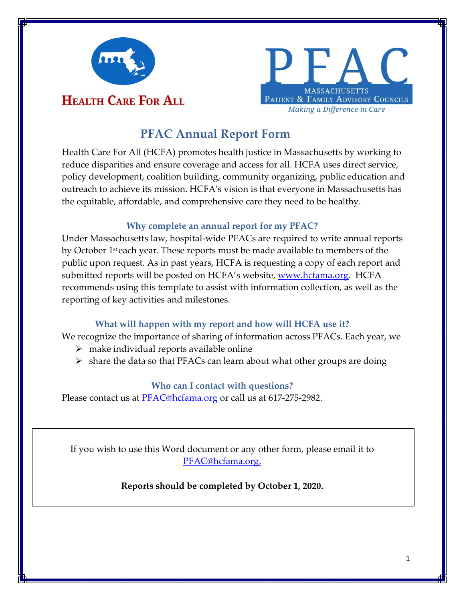



# **PFAC Annual Report Form**

Health Care For All (HCFA) promotes health justice in Massachusetts by working to reduce disparities and ensure coverage and access for all. HCFA uses direct service, policy development, coalition building, community organizing, public education and outreach to achieve its mission. HCFA's vision is that everyone in Massachusetts has the equitable, affordable, and comprehensive care they need to be healthy.

# **Why complete an annual report for my PFAC?**

Under Massachusetts law, hospital-wide PFACs are required to write annual reports by October 1st each year. These reports must be made available to members of the public upon request. As in past years, HCFA is requesting a copy of each report and submitted reports will be posted on HCFA's website, [www.hcfama.org.](http://www.hcfama.org/) HCFA recommends using this template to assist with information collection, as well as the reporting of key activities and milestones.

# **What will happen with my report and how will HCFA use it?**

We recognize the importance of sharing of information across PFACs. Each year, we

- $\triangleright$  make individual reports available online
- ➢ share the data so that PFACs can learn about what other groups are doing

# **Who can I contact with questions?**

Please contact us at **PFAC**@hcfama.org or call us at 617-275-2982.

If you wish to use this Word document or any other form, please email it to [PFAC@hcfama.org.](mailto:PFAC@hcfama.org)

**Reports should be completed by October 1, 2020.**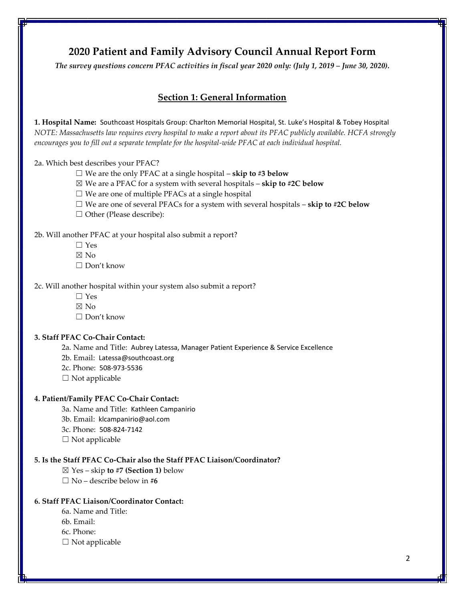# **2020 Patient and Family Advisory Council Annual Report Form**

*The survey questions concern PFAC activities in fiscal year 2020 only: (July 1, 2019 – June 30, 2020).*

# **Section 1: General Information**

**1. Hospital Name:** Southcoast Hospitals Group: Charlton Memorial Hospital, St. Luke's Hospital & Tobey Hospital *NOTE: Massachusetts law requires every hospital to make a report about its PFAC publicly available. HCFA strongly encourages you to fill out a separate template for the hospital-wide PFAC at each individual hospital.*

2a. Which best describes your PFAC?

- ☐ We are the only PFAC at a single hospital **skip to #3 below**
- ☒ We are a PFAC for a system with several hospitals **skip to #2C below**
- $\Box$  We are one of multiple PFACs at a single hospital
- ☐ We are one of several PFACs for a system with several hospitals **skip to #2C below**
- □ Other (Please describe):

#### 2b. Will another PFAC at your hospital also submit a report?

- $\Box$  Yes
- ☒ No
- ☐ Don't know

#### 2c. Will another hospital within your system also submit a report?

- ☐ Yes
- $\nabla$  No
- ☐ Don't know

#### **3. Staff PFAC Co-Chair Contact:**

- 2a. Name and Title: Aubrey Latessa, Manager Patient Experience & Service Excellence
- 2b. Email: Latessa@southcoast.org
- 2c. Phone: 508-973-5536
- $\Box$  Not applicable

#### **4. Patient/Family PFAC Co-Chair Contact:**

- 3a. Name and Title: Kathleen Campanirio
- 3b. Email: klcampanirio@aol.com
- 3c. Phone: 508-824-7142
- $\Box$  Not applicable

#### **5. Is the Staff PFAC Co-Chair also the Staff PFAC Liaison/Coordinator?**

- ☒ Yes skip **to #7 (Section 1)** below
- ☐ No describe below in **#6**

### **6. Staff PFAC Liaison/Coordinator Contact:**

- 6a. Name and Title: 6b. Email:
- 6c. Phone:
- $\square$  Not applicable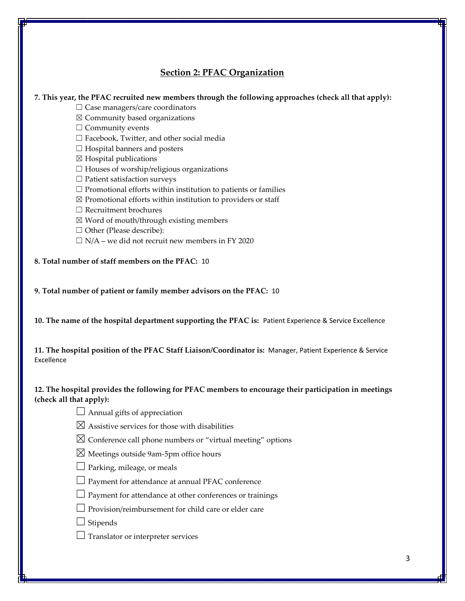# **Section 2: PFAC Organization**

#### **7. This year, the PFAC recruited new members through the following approaches (check all that apply):**

 $\Box$  Case managers/care coordinators

 $\boxtimes$  Community based organizations

 $\Box$  Community events

☐ Facebook, Twitter, and other social media

- $\Box$  Hospital banners and posters
- $\boxtimes$  Hospital publications
- $\Box$  Houses of worship/religious organizations
- ☐ Patient satisfaction surveys
- $\Box$  Promotional efforts within institution to patients or families
- $\boxtimes$  Promotional efforts within institution to providers or staff
- ☐ Recruitment brochures
- $\boxtimes$  Word of mouth/through existing members
- □ Other (Please describe):
- $\Box$  N/A we did not recruit new members in FY 2020

**8. Total number of staff members on the PFAC:** 10

**9. Total number of patient or family member advisors on the PFAC:** 10

**10. The name of the hospital department supporting the PFAC is:** Patient Experience & Service Excellence

**11. The hospital position of the PFAC Staff Liaison/Coordinator is:** Manager, Patient Experience & Service Excellence

# **12. The hospital provides the following for PFAC members to encourage their participation in meetings (check all that apply):**

|  | $\Box$ Annual gifts of appreciation |
|--|-------------------------------------|
|--|-------------------------------------|

- $\boxtimes$  Assistive services for those with disabilities
- $\boxtimes$  Conference call phone numbers or "virtual meeting" options
- $\boxtimes$  Meetings outside 9am-5pm office hours
- $\Box$  Parking, mileage, or meals
- $\Box$  Payment for attendance at annual PFAC conference
- $\Box$  Payment for attendance at other conferences or trainings
- $\Box$  Provision/reimbursement for child care or elder care
- $\Box$  Stipends
- $\Box$  Translator or interpreter services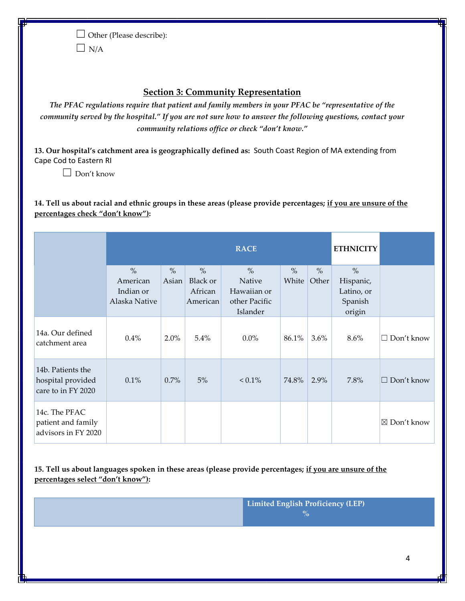☐ Other (Please describe):

 $\Box$  N/A

# **Section 3: Community Representation**

*The PFAC regulations require that patient and family members in your PFAC be "representative of the community served by the hospital." If you are not sure how to answer the following questions, contact your community relations office or check "don't know."*

**13. Our hospital's catchment area is geographically defined as:** South Coast Region of MA extending from Cape Cod to Eastern RI

 $\Box$  Don't know

**14. Tell us about racial and ethnic groups in these areas (please provide percentages; if you are unsure of the percentages check "don't know"):**

|                                                              | <b>RACE</b>               |                        |                  | <b>ETHNICITY</b>          |               |               |                            |                   |
|--------------------------------------------------------------|---------------------------|------------------------|------------------|---------------------------|---------------|---------------|----------------------------|-------------------|
|                                                              | $\frac{0}{0}$<br>American | $\frac{0}{0}$<br>Asian | $\%$<br>Black or | $\%$<br>Native            | $\%$<br>White | $\%$<br>Other | $\frac{0}{0}$<br>Hispanic, |                   |
|                                                              | Indian or                 |                        | African          | Hawaiian or               |               |               | Latino, or                 |                   |
|                                                              | Alaska Native             |                        | American         | other Pacific<br>Islander |               |               | Spanish<br>origin          |                   |
| 14a. Our defined<br>catchment area                           | $0.4\%$                   | $2.0\%$                | 5.4%             | $0.0\%$                   | 86.1%         | $3.6\%$       | 8.6%                       | $\Box$ Don't know |
| 14b. Patients the<br>hospital provided<br>care to in FY 2020 | 0.1%                      | $0.7\%$                | 5%               | $< 0.1\%$                 | 74.8%         | 2.9%          | 7.8%                       | $\Box$ Don't know |
| 14c. The PFAC<br>patient and family<br>advisors in FY 2020   |                           |                        |                  |                           |               |               |                            | ⊠ Don't know      |

**15. Tell us about languages spoken in these areas (please provide percentages; if you are unsure of the percentages select "don't know"):**

> **Limited English Proficiency (LEP) %**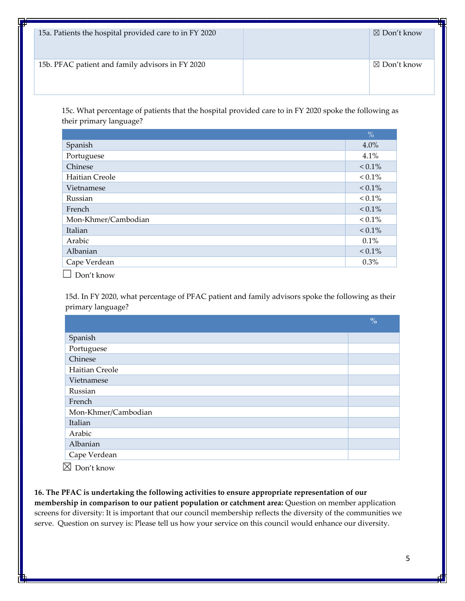| 15a. Patients the hospital provided care to in FY 2020 | $\boxtimes$ Don't know |
|--------------------------------------------------------|------------------------|
| 15b. PFAC patient and family advisors in FY 2020       | $\boxtimes$ Don't know |

15c. What percentage of patients that the hospital provided care to in FY 2020 spoke the following as their primary language?

| Spanish<br>4.0%<br>Portuguese<br>4.1%<br>Chinese<br>$< 0.1\%$<br>Haitian Creole<br>$< 0.1\%$ | $\frac{0}{0}$ |
|----------------------------------------------------------------------------------------------|---------------|
|                                                                                              |               |
|                                                                                              |               |
|                                                                                              |               |
|                                                                                              |               |
| $< 0.1\%$<br>Vietnamese                                                                      |               |
| $< 0.1\%$<br>Russian                                                                         |               |
| $< 0.1\%$<br>French                                                                          |               |
| $< 0.1\%$<br>Mon-Khmer/Cambodian                                                             |               |
| Italian<br>$< 0.1\%$                                                                         |               |
| Arabic<br>$0.1\%$                                                                            |               |
| $< 0.1\%$<br>Albanian                                                                        |               |
| Cape Verdean<br>0.3%                                                                         |               |

 $\Box$  Don't know

15d. In FY 2020, what percentage of PFAC patient and family advisors spoke the following as their primary language?

|                     | $\frac{0}{0}$ |
|---------------------|---------------|
| Spanish             |               |
| Portuguese          |               |
| Chinese             |               |
| Haitian Creole      |               |
| Vietnamese          |               |
| Russian             |               |
| French              |               |
| Mon-Khmer/Cambodian |               |
| Italian             |               |
| Arabic              |               |
| Albanian            |               |
| Cape Verdean        |               |

 $\boxtimes$  Don't know

**16. The PFAC is undertaking the following activities to ensure appropriate representation of our membership in comparison to our patient population or catchment area:** Question on member application screens for diversity: It is important that our council membership reflects the diversity of the communities we serve. Question on survey is: Please tell us how your service on this council would enhance our diversity.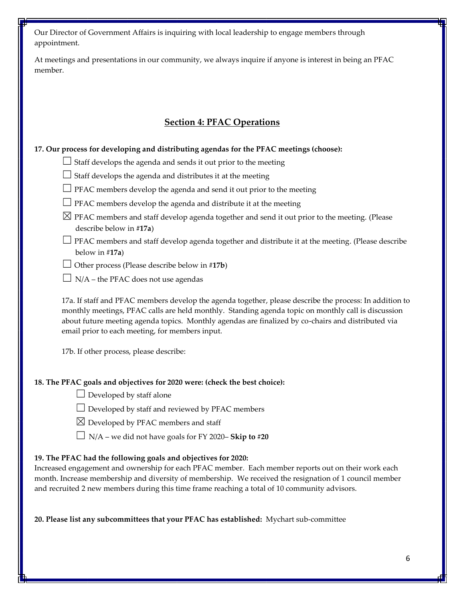Our Director of Government Affairs is inquiring with local leadership to engage members through appointment.

At meetings and presentations in our community, we always inquire if anyone is interest in being an PFAC member.

# **Section 4: PFAC Operations**

**17. Our process for developing and distributing agendas for the PFAC meetings (choose):**

 $\Box$  Staff develops the agenda and sends it out prior to the meeting

□ Staff develops the agenda and distributes it at the meeting

- $\Box$  PFAC members develop the agenda and send it out prior to the meeting
- $\Box$  PFAC members develop the agenda and distribute it at the meeting
- $\boxtimes$  PFAC members and staff develop agenda together and send it out prior to the meeting. (Please describe below in **#17a**)
- ☐ PFAC members and staff develop agenda together and distribute it at the meeting. (Please describe below in #**17a**)
- ☐ Other process (Please describe below in #**17b**)
- $\Box$  N/A the PFAC does not use agendas

17a. If staff and PFAC members develop the agenda together, please describe the process: In addition to monthly meetings, PFAC calls are held monthly. Standing agenda topic on monthly call is discussion about future meeting agenda topics. Monthly agendas are finalized by co-chairs and distributed via email prior to each meeting, for members input.

17b. If other process, please describe:

### **18. The PFAC goals and objectives for 2020 were: (check the best choice):**

 $\Box$  Developed by staff alone

 $\Box$  Developed by staff and reviewed by PFAC members

 $\boxtimes$  Developed by PFAC members and staff

☐ N/A – we did not have goals for FY 2020– **Skip to #20**

### **19. The PFAC had the following goals and objectives for 2020:**

Increased engagement and ownership for each PFAC member. Each member reports out on their work each month. Increase membership and diversity of membership. We received the resignation of 1 council member and recruited 2 new members during this time frame reaching a total of 10 community advisors.

**20. Please list any subcommittees that your PFAC has established:** Mychart sub-committee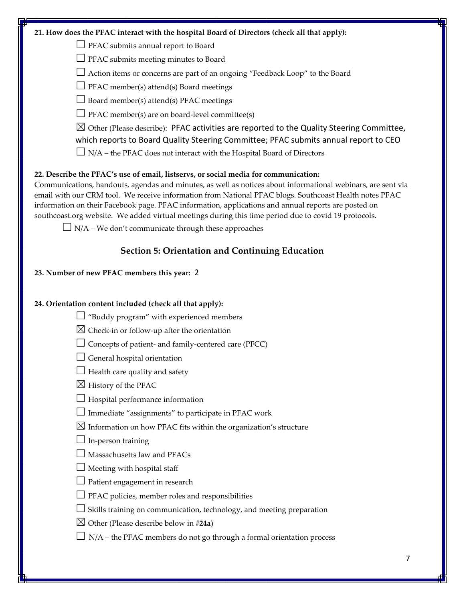| 21. How does the PFAC interact with the hospital Board of Directors (check all that apply):                                                                                                                                                                                                                                                                                                                                                                                                                                  |
|------------------------------------------------------------------------------------------------------------------------------------------------------------------------------------------------------------------------------------------------------------------------------------------------------------------------------------------------------------------------------------------------------------------------------------------------------------------------------------------------------------------------------|
| PFAC submits annual report to Board                                                                                                                                                                                                                                                                                                                                                                                                                                                                                          |
| PFAC submits meeting minutes to Board                                                                                                                                                                                                                                                                                                                                                                                                                                                                                        |
| Action items or concerns are part of an ongoing "Feedback Loop" to the Board                                                                                                                                                                                                                                                                                                                                                                                                                                                 |
| PFAC member(s) attend(s) Board meetings                                                                                                                                                                                                                                                                                                                                                                                                                                                                                      |
| Board member(s) attend(s) PFAC meetings                                                                                                                                                                                                                                                                                                                                                                                                                                                                                      |
| PFAC member(s) are on board-level committee(s)                                                                                                                                                                                                                                                                                                                                                                                                                                                                               |
| $\boxtimes$ Other (Please describe): PFAC activities are reported to the Quality Steering Committee,<br>which reports to Board Quality Steering Committee; PFAC submits annual report to CEO                                                                                                                                                                                                                                                                                                                                 |
| $\Box$ N/A – the PFAC does not interact with the Hospital Board of Directors                                                                                                                                                                                                                                                                                                                                                                                                                                                 |
| 22. Describe the PFAC's use of email, listservs, or social media for communication:<br>Communications, handouts, agendas and minutes, as well as notices about informational webinars, are sent via<br>email with our CRM tool. We receive information from National PFAC blogs. Southcoast Health notes PFAC<br>information on their Facebook page. PFAC information, applications and annual reports are posted on<br>southcoast.org website. We added virtual meetings during this time period due to covid 19 protocols. |
| $\Box$ N/A – We don't communicate through these approaches                                                                                                                                                                                                                                                                                                                                                                                                                                                                   |
| <b>Section 5: Orientation and Continuing Education</b>                                                                                                                                                                                                                                                                                                                                                                                                                                                                       |
| 23. Number of new PFAC members this year: 2                                                                                                                                                                                                                                                                                                                                                                                                                                                                                  |
|                                                                                                                                                                                                                                                                                                                                                                                                                                                                                                                              |
| 24. Orientation content included (check all that apply):                                                                                                                                                                                                                                                                                                                                                                                                                                                                     |
| "Buddy program" with experienced members                                                                                                                                                                                                                                                                                                                                                                                                                                                                                     |
| $\boxtimes$ Check-in or follow-up after the orientation                                                                                                                                                                                                                                                                                                                                                                                                                                                                      |
| Concepts of patient- and family-centered care (PFCC)                                                                                                                                                                                                                                                                                                                                                                                                                                                                         |
| General hospital orientation                                                                                                                                                                                                                                                                                                                                                                                                                                                                                                 |
| Health care quality and safety                                                                                                                                                                                                                                                                                                                                                                                                                                                                                               |
| $\boxtimes$ History of the PFAC                                                                                                                                                                                                                                                                                                                                                                                                                                                                                              |
| Hospital performance information                                                                                                                                                                                                                                                                                                                                                                                                                                                                                             |
| Immediate "assignments" to participate in PFAC work                                                                                                                                                                                                                                                                                                                                                                                                                                                                          |
| $\boxtimes$ Information on how PFAC fits within the organization's structure                                                                                                                                                                                                                                                                                                                                                                                                                                                 |
| In-person training                                                                                                                                                                                                                                                                                                                                                                                                                                                                                                           |
| Massachusetts law and PFACs                                                                                                                                                                                                                                                                                                                                                                                                                                                                                                  |
| Meeting with hospital staff                                                                                                                                                                                                                                                                                                                                                                                                                                                                                                  |
| Patient engagement in research                                                                                                                                                                                                                                                                                                                                                                                                                                                                                               |
| PFAC policies, member roles and responsibilities                                                                                                                                                                                                                                                                                                                                                                                                                                                                             |
| Skills training on communication, technology, and meeting preparation                                                                                                                                                                                                                                                                                                                                                                                                                                                        |
| $\boxtimes$ Other (Please describe below in #24a)                                                                                                                                                                                                                                                                                                                                                                                                                                                                            |
| N/A - the PFAC members do not go through a formal orientation process                                                                                                                                                                                                                                                                                                                                                                                                                                                        |
|                                                                                                                                                                                                                                                                                                                                                                                                                                                                                                                              |
| 7                                                                                                                                                                                                                                                                                                                                                                                                                                                                                                                            |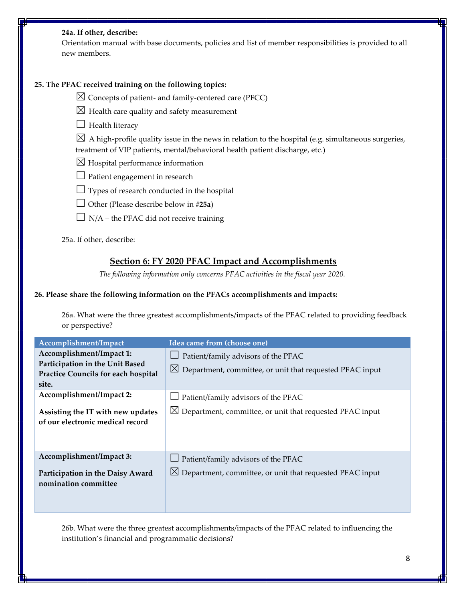#### **24a. If other, describe:**

Orientation manual with base documents, policies and list of member responsibilities is provided to all new members.

### **25. The PFAC received training on the following topics:**

 $\boxtimes$  Concepts of patient- and family-centered care (PFCC)

- $\boxtimes$  Health care quality and safety measurement
- $\Box$  Health literacy

 $\boxtimes$  A high-profile quality issue in the news in relation to the hospital (e.g. simultaneous surgeries, treatment of VIP patients, mental/behavioral health patient discharge, etc.)

- $\boxtimes$  Hospital performance information
- $\Box$  Patient engagement in research
- $\Box$  Types of research conducted in the hospital
- ☐ Other (Please describe below in **#25a**)
- $\Box$  N/A the PFAC did not receive training

25a. If other, describe:

# **Section 6: FY 2020 PFAC Impact and Accomplishments**

*The following information only concerns PFAC activities in the fiscal year 2020.*

#### **26. Please share the following information on the PFACs accomplishments and impacts:**

26a. What were the three greatest accomplishments/impacts of the PFAC related to providing feedback or perspective?

| Accomplishment/Impact                                                                                       | Idea came from (choose one)                                                                                        |
|-------------------------------------------------------------------------------------------------------------|--------------------------------------------------------------------------------------------------------------------|
| Accomplishment/Impact 1:<br>Participation in the Unit Based<br>Practice Councils for each hospital<br>site. | Patient/family advisors of the PFAC<br>$\boxtimes$ Department, committee, or unit that requested PFAC input        |
| Accomplishment/Impact 2:<br>Assisting the IT with new updates<br>of our electronic medical record           | Patient/family advisors of the PFAC<br>$\boxtimes$ Department, committee, or unit that requested PFAC input        |
| Accomplishment/Impact 3:<br>Participation in the Daisy Award<br>nomination committee                        | $\Box$ Patient/family advisors of the PFAC<br>$\boxtimes$ Department, committee, or unit that requested PFAC input |

26b. What were the three greatest accomplishments/impacts of the PFAC related to influencing the institution's financial and programmatic decisions?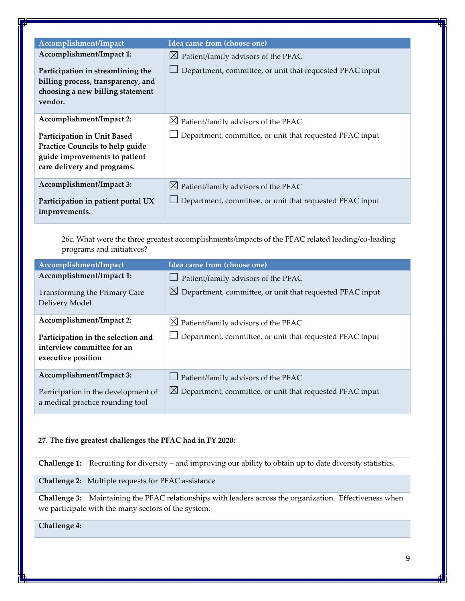| Accomplishment/Impact                                                                                                          | Idea came from (choose one)                                                                                 |
|--------------------------------------------------------------------------------------------------------------------------------|-------------------------------------------------------------------------------------------------------------|
| Accomplishment/Impact 1:<br>Participation in streamlining the                                                                  | $\boxtimes$ Patient/family advisors of the PFAC<br>Department, committee, or unit that requested PFAC input |
| billing process, transparency, and<br>choosing a new billing statement<br>vendor.                                              |                                                                                                             |
| Accomplishment/Impact 2:                                                                                                       | $\boxtimes$ Patient/family advisors of the PFAC                                                             |
| Participation in Unit Based<br>Practice Councils to help guide<br>guide improvements to patient<br>care delivery and programs. | Department, committee, or unit that requested PFAC input                                                    |
| Accomplishment/Impact 3:                                                                                                       | $\boxtimes$ Patient/family advisors of the PFAC                                                             |
| Participation in patient portal UX<br>improvements.                                                                            | Department, committee, or unit that requested PFAC input                                                    |

26c. What were the three greatest accomplishments/impacts of the PFAC related leading/co-leading programs and initiatives?

| Accomplishment/Impact               | Idea came from (choose one)                                          |
|-------------------------------------|----------------------------------------------------------------------|
| Accomplishment/Impact 1:            | $\Box$ Patient/family advisors of the PFAC                           |
| Transforming the Primary Care       | $\boxtimes$ Department, committee, or unit that requested PFAC input |
| Delivery Model                      |                                                                      |
| Accomplishment/Impact 2:            | $\boxtimes$ Patient/family advisors of the PFAC                      |
| Participation in the selection and  | Department, committee, or unit that requested PFAC input             |
| interview committee for an          |                                                                      |
| executive position                  |                                                                      |
| Accomplishment/Impact 3:            | $\Box$ Patient/family advisors of the PFAC                           |
| Participation in the development of | $\boxtimes$ Department, committee, or unit that requested PFAC input |
| a medical practice rounding tool    |                                                                      |

## **27. The five greatest challenges the PFAC had in FY 2020:**

**Challenge 1:** Recruiting for diversity – and improving our ability to obtain up to date diversity statistics.

**Challenge 2:** Multiple requests for PFAC assistance

**Challenge 3:** Maintaining the PFAC relationships with leaders across the organization. Effectiveness when we participate with the many sectors of the system.

**Challenge 4:**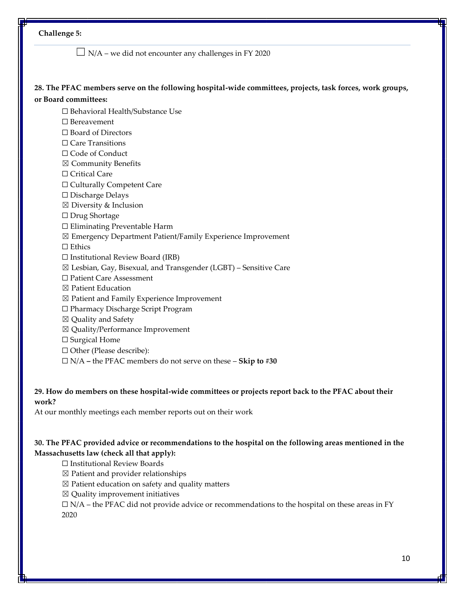## **Challenge 5:**

 $\Box$  N/A – we did not encounter any challenges in FY 2020

### **28. The PFAC members serve on the following hospital-wide committees, projects, task forces, work groups, or Board committees:**

☐ Behavioral Health/Substance Use

- ☐ Bereavement
- ☐ Board of Directors
- □ Care Transitions
- □ Code of Conduct
- ☒ Community Benefits
- □ Critical Care
- ☐ Culturally Competent Care
- ☐ Discharge Delays
- $\boxtimes$  Diversity & Inclusion
- ☐ Drug Shortage
- ☐ Eliminating Preventable Harm
- ☒ Emergency Department Patient/Family Experience Improvement
- □ Ethics
- $\Box$  Institutional Review Board (IRB)
- ☒ Lesbian, Gay, Bisexual, and Transgender (LGBT) Sensitive Care
- ☐ Patient Care Assessment
- ☒ Patient Education
- ☒ Patient and Family Experience Improvement
- ☐ Pharmacy Discharge Script Program
- ☒ Quality and Safety
- ☒ Quality/Performance Improvement
- □ Surgical Home
- ☐ Other (Please describe):
- ☐ N/A **–** the PFAC members do not serve on these **Skip to #30**

### **29. How do members on these hospital-wide committees or projects report back to the PFAC about their work?**

At our monthly meetings each member reports out on their work

## **30. The PFAC provided advice or recommendations to the hospital on the following areas mentioned in the Massachusetts law (check all that apply):**

☐ Institutional Review Boards

- $\boxtimes$  Patient and provider relationships
- $\boxtimes$  Patient education on safety and quality matters
- $\boxtimes$  Quality improvement initiatives

 $\Box$  N/A – the PFAC did not provide advice or recommendations to the hospital on these areas in FY 2020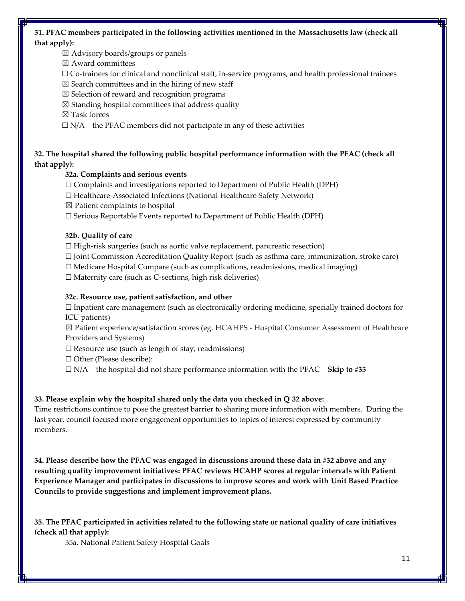# **31. PFAC members participated in the following activities mentioned in the Massachusetts law (check all that apply):**

 $\boxtimes$  Advisory boards/groups or panels

☒ Award committees

 $\Box$  Co-trainers for clinical and nonclinical staff, in-service programs, and health professional trainees

 $\boxtimes$  Search committees and in the hiring of new staff

- $\boxtimes$  Selection of reward and recognition programs
- $\boxtimes$  Standing hospital committees that address quality

☒ Task forces

 $\Box$  N/A – the PFAC members did not participate in any of these activities

# **32. The hospital shared the following public hospital performance information with the PFAC (check all that apply):**

### **32a. Complaints and serious events**

☐ Complaints and investigations reported to Department of Public Health (DPH)

☐ Healthcare-Associated Infections (National Healthcare Safety Network)

 $\boxtimes$  Patient complaints to hospital

☐ Serious Reportable Events reported to Department of Public Health (DPH)

### **32b. Quality of care**

 $\Box$  High-risk surgeries (such as aortic valve replacement, pancreatic resection)

☐ Joint Commission Accreditation Quality Report (such as asthma care, immunization, stroke care)

 $\Box$  Medicare Hospital Compare (such as complications, readmissions, medical imaging)

 $\Box$  Maternity care (such as C-sections, high risk deliveries)

### **32c. Resource use, patient satisfaction, and other**

 $\Box$  Inpatient care management (such as electronically ordering medicine, specially trained doctors for ICU patients)

☒ Patient experience/satisfaction scores (eg. HCAHPS - Hospital Consumer Assessment of Healthcare Providers and Systems)

 $\Box$  Resource use (such as length of stay, readmissions)

☐ Other (Please describe):

☐ N/A – the hospital did not share performance information with the PFAC – **Skip to #35**

### **33. Please explain why the hospital shared only the data you checked in Q 32 above:**

Time restrictions continue to pose the greatest barrier to sharing more information with members. During the last year, council focused more engagement opportunities to topics of interest expressed by community members.

**34. Please describe how the PFAC was engaged in discussions around these data in #32 above and any resulting quality improvement initiatives: PFAC reviews HCAHP scores at regular intervals with Patient Experience Manager and participates in discussions to improve scores and work with Unit Based Practice Councils to provide suggestions and implement improvement plans.**

**35. The PFAC participated in activities related to the following state or national quality of care initiatives (check all that apply):** 

35a. National Patient Safety Hospital Goals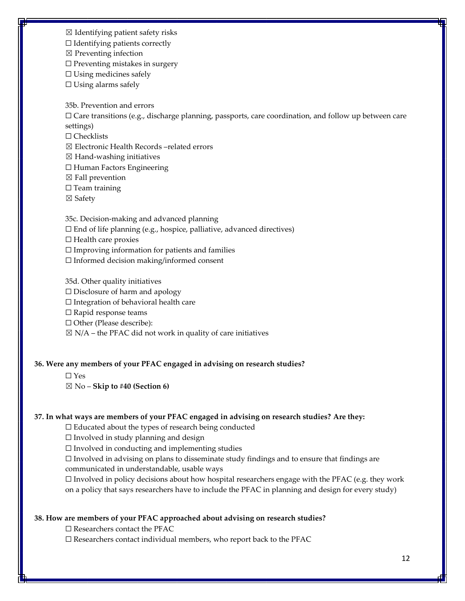☒ Identifying patient safety risks

 $\Box$  Identifying patients correctly

 $\boxtimes$  Preventing infection

 $\Box$  Preventing mistakes in surgery

☐ Using medicines safely

 $\Box$  Using alarms safely

35b. Prevention and errors

 $\Box$  Care transitions (e.g., discharge planning, passports, care coordination, and follow up between care settings)

☐ Checklists

☒ Electronic Health Records –related errors

 $\boxtimes$  Hand-washing initiatives

☐ Human Factors Engineering

 $\boxtimes$  Fall prevention

 $\Box$  Team training

☒ Safety

35c. Decision-making and advanced planning

☐ End of life planning (e.g., hospice, palliative, advanced directives)

☐ Health care proxies

☐ Improving information for patients and families

☐ Informed decision making/informed consent

35d. Other quality initiatives

☐ Disclosure of harm and apology

☐ Integration of behavioral health care

☐ Rapid response teams

☐ Other (Please describe):

 $\boxtimes$  N/A – the PFAC did not work in quality of care initiatives

#### **36. Were any members of your PFAC engaged in advising on research studies?**

☐ Yes

☒ No – **Skip to #40 (Section 6)**

#### **37. In what ways are members of your PFAC engaged in advising on research studies? Are they:**

 $\Box$  Educated about the types of research being conducted

 $\Box$  Involved in study planning and design

 $\Box$  Involved in conducting and implementing studies

☐ Involved in advising on plans to disseminate study findings and to ensure that findings are communicated in understandable, usable ways

 $\Box$  Involved in policy decisions about how hospital researchers engage with the PFAC (e.g. they work on a policy that says researchers have to include the PFAC in planning and design for every study)

#### **38. How are members of your PFAC approached about advising on research studies?**

 $\Box$  Researchers contact the PFAC

 $\Box$  Researchers contact individual members, who report back to the PFAC